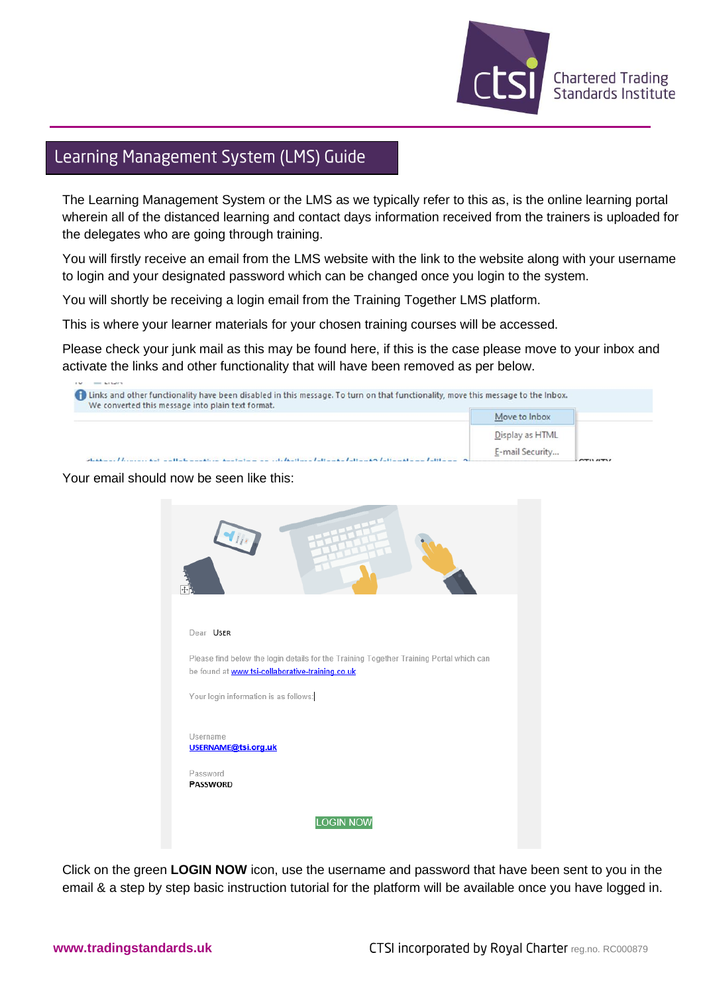

## Learning Management System (LMS) Guide

The Learning Management System or the LMS as we typically refer to this as, is the online learning portal wherein all of the distanced learning and contact days information received from the trainers is uploaded for the delegates who are going through training.

You will firstly receive an email from the LMS website with the link to the website along with your username to login and your designated password which can be changed once you login to the system.

You will shortly be receiving a login email from the Training Together LMS platform.

This is where your learner materials for your chosen training courses will be accessed.

Please check your junk mail as this may be found here, if this is the case please move to your inbox and activate the links and other functionality that will have been removed as per below.

| 1. Links and other functionality have been disabled in this message. To turn on that functionality, move this message to the Inbox.<br>We converted this message into plain text format. |                 |  |
|------------------------------------------------------------------------------------------------------------------------------------------------------------------------------------------|-----------------|--|
|                                                                                                                                                                                          | Move to Inbox   |  |
|                                                                                                                                                                                          | Display as HTML |  |
| and the language of the American control of the Home                                                                                                                                     | E-mail Security |  |

## Your email should now be seen like this:



Click on the green **LOGIN NOW** icon, use the username and password that have been sent to you in the email & a step by step basic instruction tutorial for the platform will be available once you have logged in.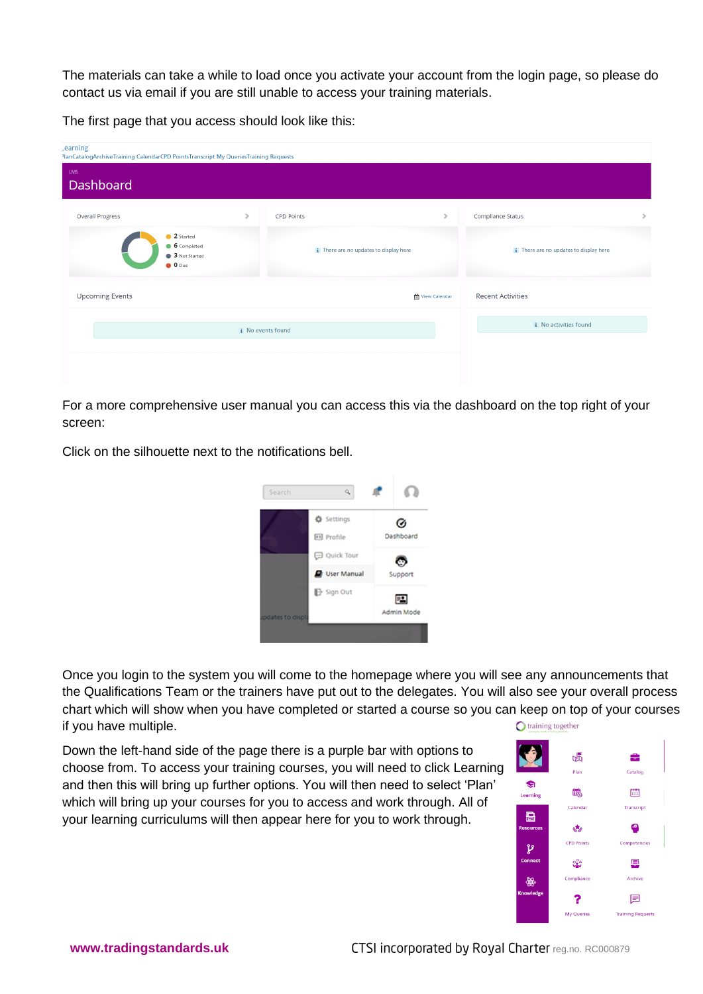The materials can take a while to load once you activate your account from the login page, so please do contact us via email if you are still unable to access your training materials.

The first page that you access should look like this:

| Learning<br>PlanCatalogArchiveTraining CalendarCPD PointsTranscript My QueriesTraining Requests |   |                                           |                                           |
|-------------------------------------------------------------------------------------------------|---|-------------------------------------------|-------------------------------------------|
| <b>LMS</b><br>Dashboard                                                                         |   |                                           |                                           |
| <b>Overall Progress</b>                                                                         | × | <b>CPD Points</b><br>,                    | <b>Compliance Status</b><br>$\mathcal{P}$ |
| 2 Started<br>6 Completed<br>3 Not Started<br>$\bullet$ 0 Due                                    |   | i There are no updates to display here    | i There are no updates to display here    |
| <b>Upcoming Events</b>                                                                          |   | <b>Recent Activities</b><br>View Calendar |                                           |
| <i>i</i> No events found                                                                        |   | <i>i</i> No activities found              |                                           |
|                                                                                                 |   |                                           |                                           |

For a more comprehensive user manual you can access this via the dashboard on the top right of your screen:

Click on the silhouette next to the notifications bell.



Once you login to the system you will come to the homepage where you will see any announcements that the Qualifications Team or the trainers have put out to the delegates. You will also see your overall process chart which will show when you have completed or started a course so you can keep on top of your courses if you have multiple. training together

Down the left-hand side of the page there is a purple bar with options to choose from. To access your training courses, you will need to click Learning and then this will bring up further options. You will then need to select 'Plan' which will bring up your courses for you to access and work through. All of your learning curriculums will then appear here for you to work through.